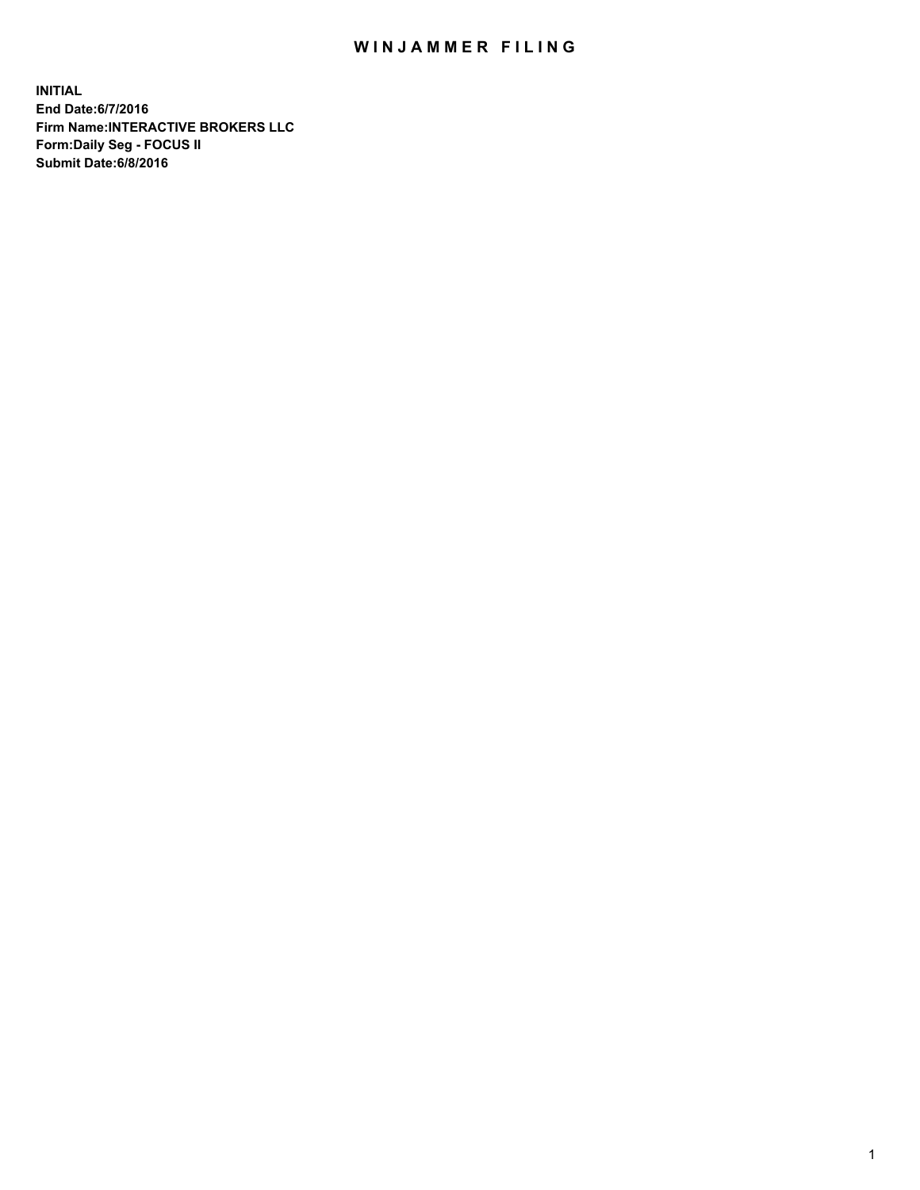## WIN JAMMER FILING

**INITIAL End Date:6/7/2016 Firm Name:INTERACTIVE BROKERS LLC Form:Daily Seg - FOCUS II Submit Date:6/8/2016**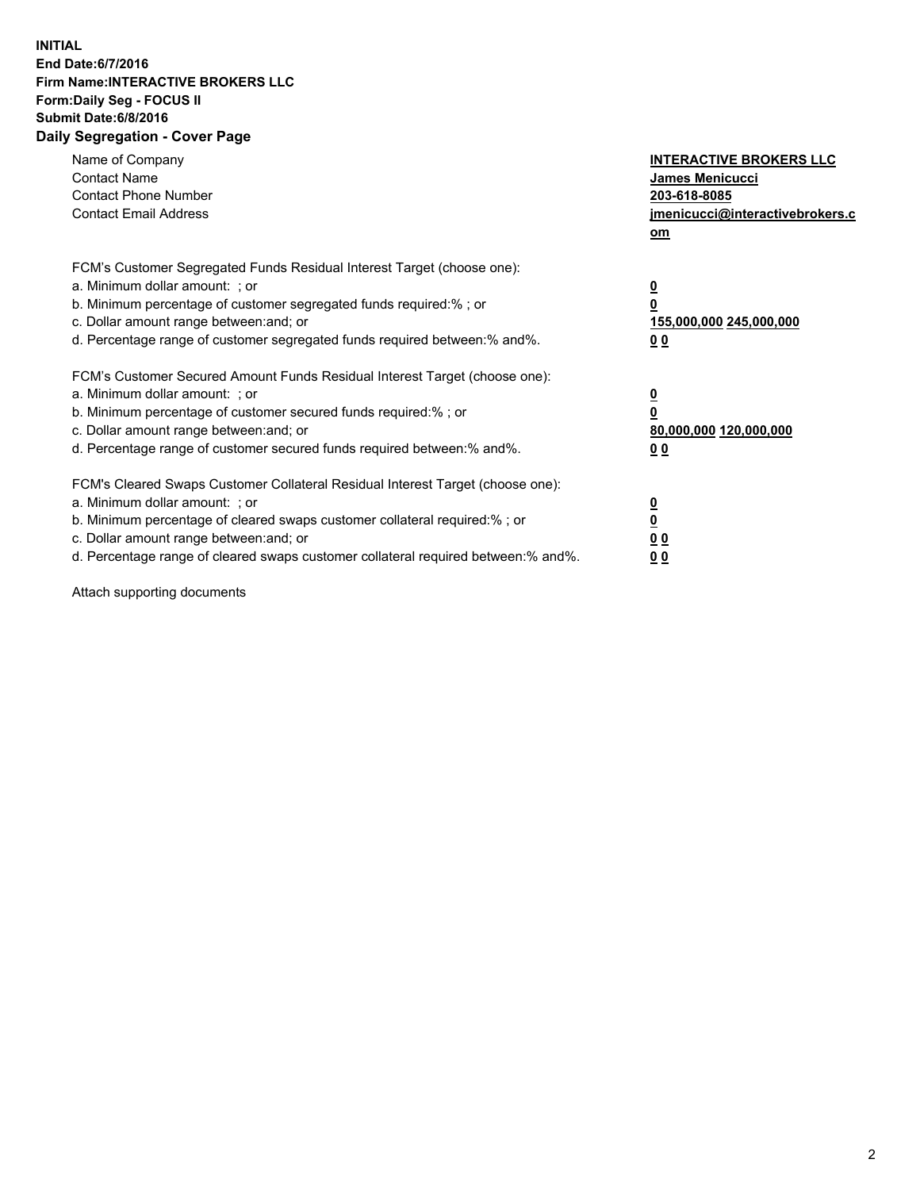## **INITIAL End Date:6/7/2016 Firm Name:INTERACTIVE BROKERS LLC Form:Daily Seg - FOCUS II Submit Date:6/8/2016 Daily Segregation - Cover Page**

| Name of Company<br><b>Contact Name</b><br><b>Contact Phone Number</b><br><b>Contact Email Address</b>                                                                                                                                                                                                                          | <b>INTERACTIVE BROKERS LLC</b><br><b>James Menicucci</b><br>203-618-8085<br>jmenicucci@interactivebrokers.c<br>om |
|--------------------------------------------------------------------------------------------------------------------------------------------------------------------------------------------------------------------------------------------------------------------------------------------------------------------------------|-------------------------------------------------------------------------------------------------------------------|
| FCM's Customer Segregated Funds Residual Interest Target (choose one):<br>a. Minimum dollar amount: ; or<br>b. Minimum percentage of customer segregated funds required:% ; or<br>c. Dollar amount range between: and; or<br>d. Percentage range of customer segregated funds required between: % and %.                       | $\overline{\mathbf{0}}$<br>0<br>155,000,000 245,000,000<br>00                                                     |
| FCM's Customer Secured Amount Funds Residual Interest Target (choose one):<br>a. Minimum dollar amount: ; or<br>b. Minimum percentage of customer secured funds required:%; or<br>c. Dollar amount range between: and; or<br>d. Percentage range of customer secured funds required between: % and %.                          | $\overline{\mathbf{0}}$<br>0<br>80,000,000 120,000,000<br>0 <sub>0</sub>                                          |
| FCM's Cleared Swaps Customer Collateral Residual Interest Target (choose one):<br>a. Minimum dollar amount: ; or<br>b. Minimum percentage of cleared swaps customer collateral required:% ; or<br>c. Dollar amount range between: and; or<br>d. Percentage range of cleared swaps customer collateral required between:% and%. | $\overline{\mathbf{0}}$<br>$\underline{\mathbf{0}}$<br>0 <sub>0</sub><br>0 <sub>0</sub>                           |

Attach supporting documents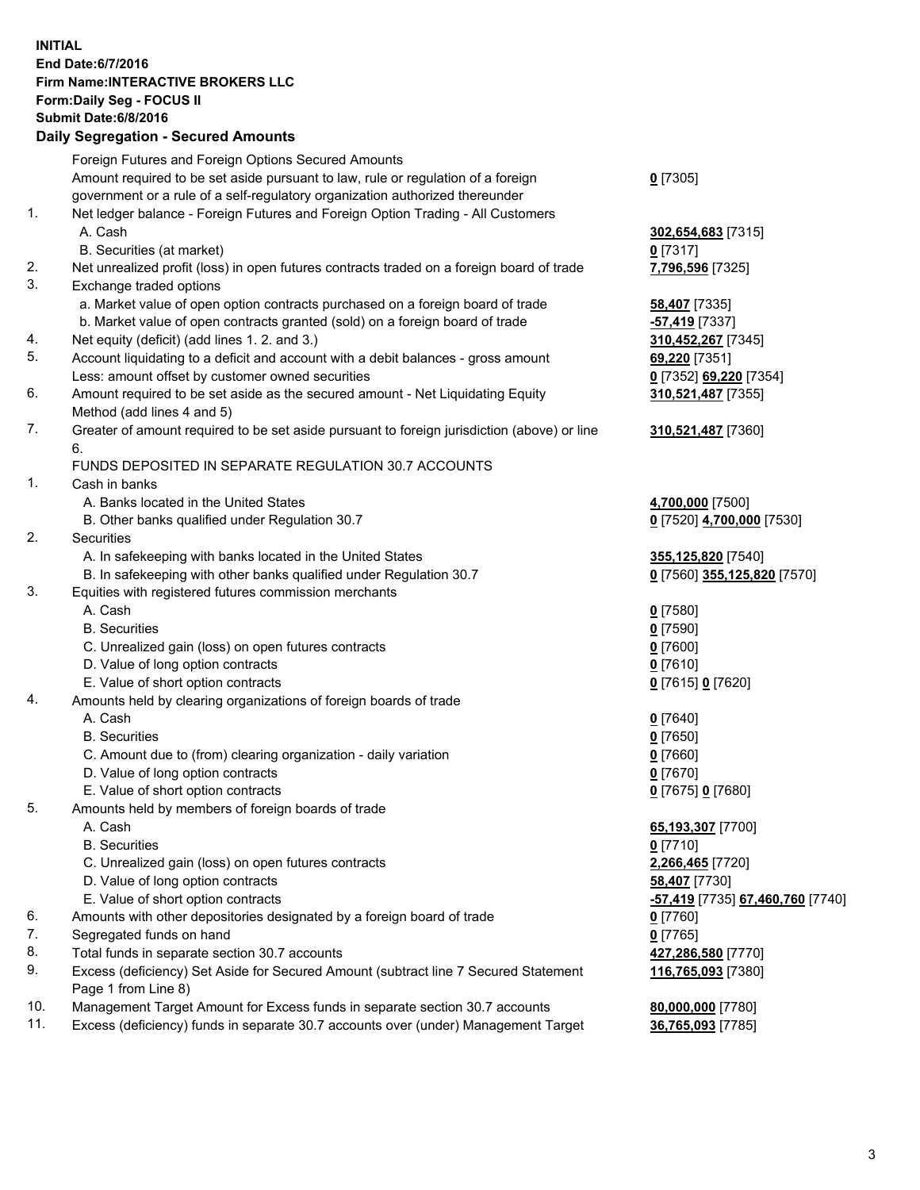## **INITIAL End Date:6/7/2016 Firm Name:INTERACTIVE BROKERS LLC Form:Daily Seg - FOCUS II Submit Date:6/8/2016 Daily Segregation - Secured Amounts**

|     | Foreign Futures and Foreign Options Secured Amounts                                         |                                  |
|-----|---------------------------------------------------------------------------------------------|----------------------------------|
|     | Amount required to be set aside pursuant to law, rule or regulation of a foreign            | $0$ [7305]                       |
|     | government or a rule of a self-regulatory organization authorized thereunder                |                                  |
| 1.  | Net ledger balance - Foreign Futures and Foreign Option Trading - All Customers             |                                  |
|     | A. Cash                                                                                     | 302,654,683 [7315]               |
|     | B. Securities (at market)                                                                   | $0$ [7317]                       |
| 2.  | Net unrealized profit (loss) in open futures contracts traded on a foreign board of trade   | 7,796,596 [7325]                 |
| 3.  | Exchange traded options                                                                     |                                  |
|     | a. Market value of open option contracts purchased on a foreign board of trade              | 58,407 [7335]                    |
|     | b. Market value of open contracts granted (sold) on a foreign board of trade                |                                  |
| 4.  | Net equity (deficit) (add lines 1.2. and 3.)                                                | <mark>-57,419</mark> [7337]      |
| 5.  |                                                                                             | 310,452,267 [7345]               |
|     | Account liquidating to a deficit and account with a debit balances - gross amount           | 69,220 [7351]                    |
|     | Less: amount offset by customer owned securities                                            | 0 [7352] 69,220 [7354]           |
| 6.  | Amount required to be set aside as the secured amount - Net Liquidating Equity              | 310,521,487 [7355]               |
|     | Method (add lines 4 and 5)                                                                  |                                  |
| 7.  | Greater of amount required to be set aside pursuant to foreign jurisdiction (above) or line | 310,521,487 [7360]               |
|     | 6.                                                                                          |                                  |
|     | FUNDS DEPOSITED IN SEPARATE REGULATION 30.7 ACCOUNTS                                        |                                  |
| 1.  | Cash in banks                                                                               |                                  |
|     | A. Banks located in the United States                                                       | 4,700,000 [7500]                 |
|     | B. Other banks qualified under Regulation 30.7                                              | 0 [7520] 4,700,000 [7530]        |
| 2.  | Securities                                                                                  |                                  |
|     | A. In safekeeping with banks located in the United States                                   | 355,125,820 [7540]               |
|     | B. In safekeeping with other banks qualified under Regulation 30.7                          | 0 [7560] 355,125,820 [7570]      |
| 3.  | Equities with registered futures commission merchants                                       |                                  |
|     | A. Cash                                                                                     | $0$ [7580]                       |
|     | <b>B.</b> Securities                                                                        | $0$ [7590]                       |
|     | C. Unrealized gain (loss) on open futures contracts                                         | $0$ [7600]                       |
|     | D. Value of long option contracts                                                           | $0$ [7610]                       |
|     | E. Value of short option contracts                                                          | 0 [7615] 0 [7620]                |
| 4.  | Amounts held by clearing organizations of foreign boards of trade                           |                                  |
|     | A. Cash                                                                                     | $0$ [7640]                       |
|     | <b>B.</b> Securities                                                                        | $0$ [7650]                       |
|     |                                                                                             | $0$ [7660]                       |
|     | C. Amount due to (from) clearing organization - daily variation                             |                                  |
|     | D. Value of long option contracts                                                           | $0$ [7670]                       |
|     | E. Value of short option contracts                                                          | 0 [7675] 0 [7680]                |
| 5.  | Amounts held by members of foreign boards of trade                                          |                                  |
|     | A. Cash                                                                                     | 65,193,307 [7700]                |
|     | <b>B.</b> Securities                                                                        | $0$ [7710]                       |
|     | C. Unrealized gain (loss) on open futures contracts                                         | 2,266,465 [7720]                 |
|     | D. Value of long option contracts                                                           | 58,407 [7730]                    |
|     | E. Value of short option contracts                                                          | -57,419 [7735] 67,460,760 [7740] |
| 6.  | Amounts with other depositories designated by a foreign board of trade                      | $0$ [7760]                       |
| 7.  | Segregated funds on hand                                                                    | $0$ [7765]                       |
| 8.  | Total funds in separate section 30.7 accounts                                               | 427,286,580 [7770]               |
| 9.  | Excess (deficiency) Set Aside for Secured Amount (subtract line 7 Secured Statement         | 116,765,093 [7380]               |
|     | Page 1 from Line 8)                                                                         |                                  |
| 10. | Management Target Amount for Excess funds in separate section 30.7 accounts                 | 80,000,000 [7780]                |
| 11. | Excess (deficiency) funds in separate 30.7 accounts over (under) Management Target          | 36,765,093 [7785]                |
|     |                                                                                             |                                  |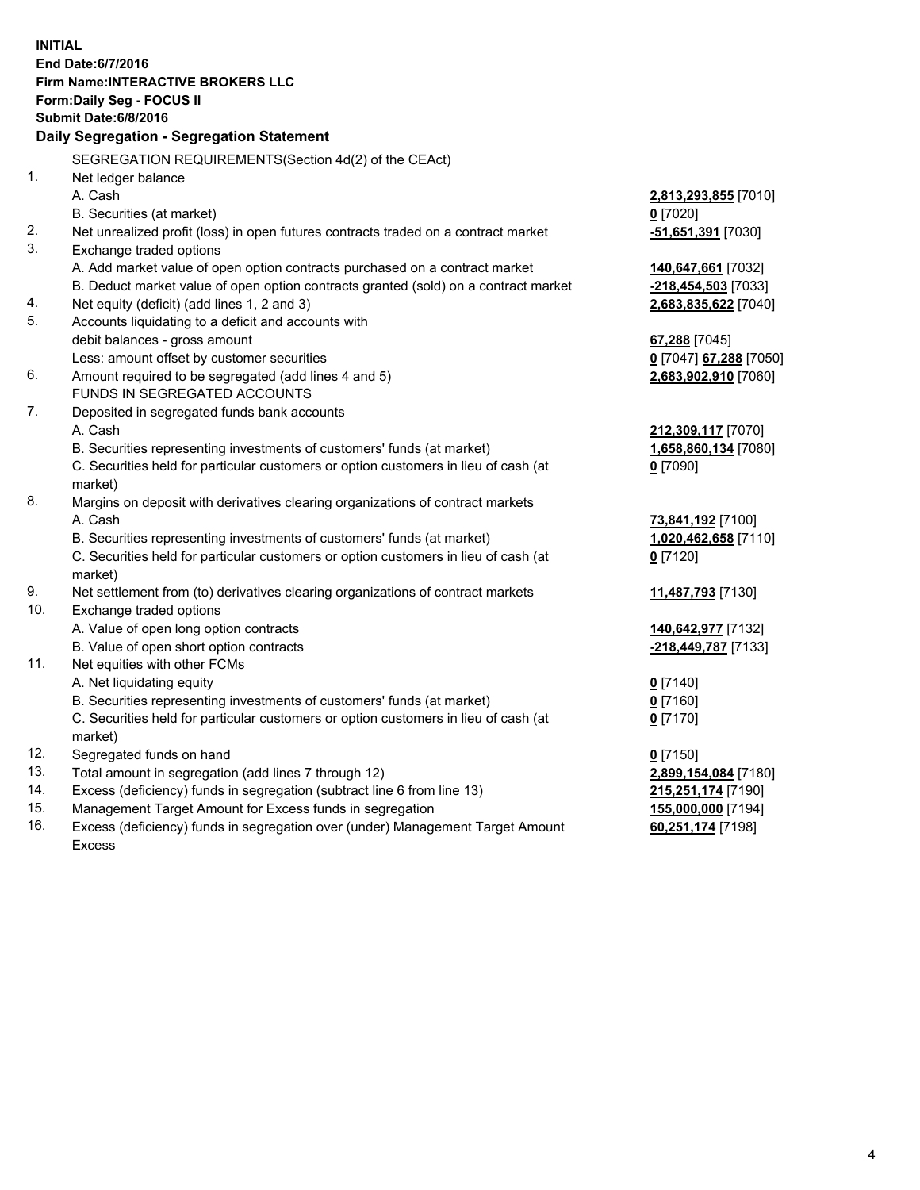**INITIAL End Date:6/7/2016 Firm Name:INTERACTIVE BROKERS LLC Form:Daily Seg - FOCUS II Submit Date:6/8/2016 Daily Segregation - Segregation Statement** SEGREGATION REQUIREMENTS(Section 4d(2) of the CEAct) 1. Net ledger balance A. Cash **2,813,293,855** [7010] B. Securities (at market) **0** [7020] 2. Net unrealized profit (loss) in open futures contracts traded on a contract market **-51,651,391** [7030] 3. Exchange traded options A. Add market value of open option contracts purchased on a contract market **140,647,661** [7032] B. Deduct market value of open option contracts granted (sold) on a contract market **-218,454,503** [7033] 4. Net equity (deficit) (add lines 1, 2 and 3) **2,683,835,622** [7040] 5. Accounts liquidating to a deficit and accounts with debit balances - gross amount **67,288** [7045] Less: amount offset by customer securities **0** [7047] **67,288** [7050] 6. Amount required to be segregated (add lines 4 and 5) **2,683,902,910** [7060] FUNDS IN SEGREGATED ACCOUNTS 7. Deposited in segregated funds bank accounts A. Cash **212,309,117** [7070] B. Securities representing investments of customers' funds (at market) **1,658,860,134** [7080] C. Securities held for particular customers or option customers in lieu of cash (at market) **0** [7090] 8. Margins on deposit with derivatives clearing organizations of contract markets A. Cash **73,841,192** [7100] B. Securities representing investments of customers' funds (at market) **1,020,462,658** [7110] C. Securities held for particular customers or option customers in lieu of cash (at market) **0** [7120] 9. Net settlement from (to) derivatives clearing organizations of contract markets **11,487,793** [7130] 10. Exchange traded options A. Value of open long option contracts **140,642,977** [7132] B. Value of open short option contracts **-218,449,787** [7133] 11. Net equities with other FCMs A. Net liquidating equity **0** [7140] B. Securities representing investments of customers' funds (at market) **0** [7160] C. Securities held for particular customers or option customers in lieu of cash (at market) **0** [7170] 12. Segregated funds on hand **0** [7150] 13. Total amount in segregation (add lines 7 through 12) **2,899,154,084** [7180] 14. Excess (deficiency) funds in segregation (subtract line 6 from line 13) **215,251,174** [7190] 15. Management Target Amount for Excess funds in segregation **155,000,000** [7194] 16. Excess (deficiency) funds in segregation over (under) Management Target Amount **60,251,174** [7198]

Excess